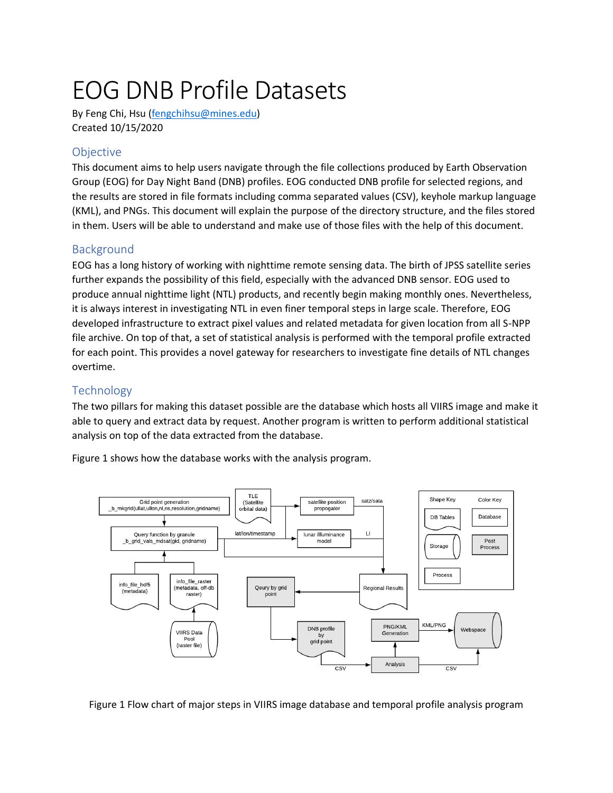# EOG DNB Profile Datasets

By Feng Chi, Hsu [\(fengchihsu@mines.edu\)](mailto:fengchihsu@mines.edu) Created 10/15/2020

## **Objective**

This document aims to help users navigate through the file collections produced by Earth Observation Group (EOG) for Day Night Band (DNB) profiles. EOG conducted DNB profile for selected regions, and the results are stored in file formats including comma separated values (CSV), keyhole markup language (KML), and PNGs. This document will explain the purpose of the directory structure, and the files stored in them. Users will be able to understand and make use of those files with the help of this document.

## Background

EOG has a long history of working with nighttime remote sensing data. The birth of JPSS satellite series further expands the possibility of this field, especially with the advanced DNB sensor. EOG used to produce annual nighttime light (NTL) products, and recently begin making monthly ones. Nevertheless, it is always interest in investigating NTL in even finer temporal steps in large scale. Therefore, EOG developed infrastructure to extract pixel values and related metadata for given location from all S-NPP file archive. On top of that, a set of statistical analysis is performed with the temporal profile extracted for each point. This provides a novel gateway for researchers to investigate fine details of NTL changes overtime.

# **Technology**

The two pillars for making this dataset possible are the database which hosts all VIIRS image and make it able to query and extract data by request. Another program is written to perform additional statistical analysis on top of the data extracted from the database.

Figure 1 shows how the database works with the analysis program.



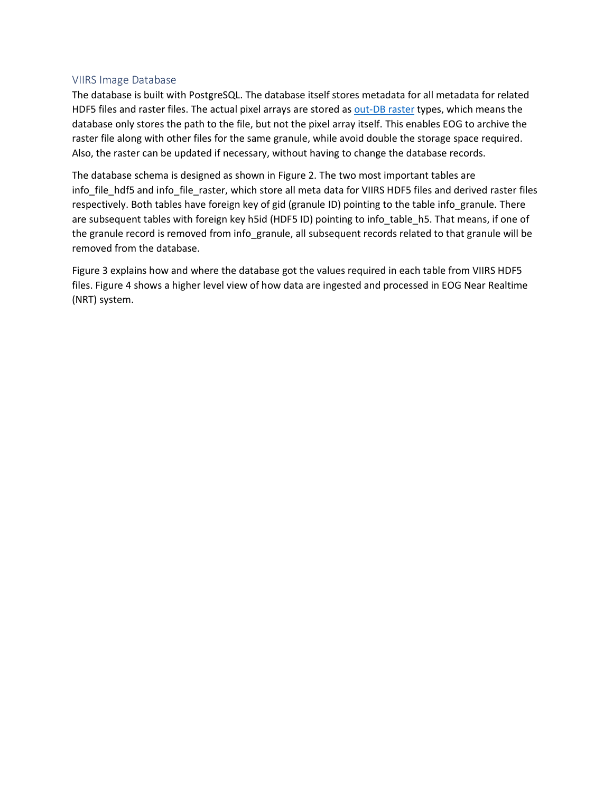#### VIIRS Image Database

The database is built with PostgreSQL. The database itself stores metadata for all metadata for related HDF5 files and raster files. The actual pixel arrays are stored as [out-DB raster](https://postgis.net/docs/RT_reference.html#outdb) types, which means the database only stores the path to the file, but not the pixel array itself. This enables EOG to archive the raster file along with other files for the same granule, while avoid double the storage space required. Also, the raster can be updated if necessary, without having to change the database records.

The database schema is designed as shown in Figure 2. The two most important tables are info\_file\_hdf5 and info\_file\_raster, which store all meta data for VIIRS HDF5 files and derived raster files respectively. Both tables have foreign key of gid (granule ID) pointing to the table info\_granule. There are subsequent tables with foreign key h5id (HDF5 ID) pointing to info\_table\_h5. That means, if one of the granule record is removed from info\_granule, all subsequent records related to that granule will be removed from the database.

Figure 3 explains how and where the database got the values required in each table from VIIRS HDF5 files. Figure 4 shows a higher level view of how data are ingested and processed in EOG Near Realtime (NRT) system.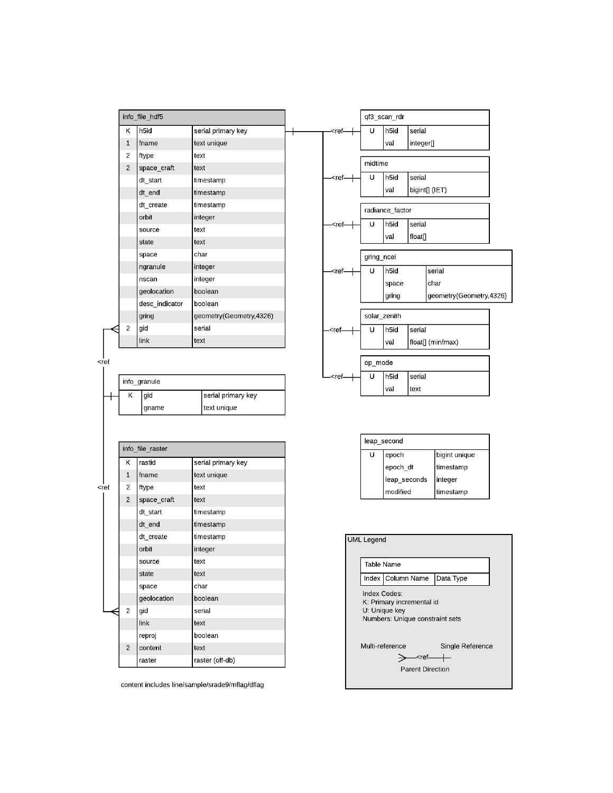|                | info file hdf5   |                         |                                                                                 |            | qf3_scan_rdr    |           |                         |  |
|----------------|------------------|-------------------------|---------------------------------------------------------------------------------|------------|-----------------|-----------|-------------------------|--|
| K              | h <sub>5id</sub> | serial primary key      | <ref< th=""><th>U</th><th>h5id</th><th>serial</th><th></th><th></th></ref<>     | U          | h5id            | serial    |                         |  |
| 1              | fname            | text unique             |                                                                                 |            | val             | integer[] |                         |  |
| 2              | ftype            | text                    |                                                                                 |            |                 |           |                         |  |
| $\overline{2}$ | space_craft      | text                    |                                                                                 | midtime    |                 |           |                         |  |
|                | dt start         | timestamp               | - <ref-< td=""><td>U</td><td>h5id</td><td>serial</td><td></td><td></td></ref-<> | U          | h5id            | serial    |                         |  |
|                | dt end           | timestamp               |                                                                                 |            | val             |           | bigint[] (IET)          |  |
|                | dt create        | timestamp               |                                                                                 |            | radiance factor |           |                         |  |
|                | orbit            | integer                 |                                                                                 |            |                 |           |                         |  |
|                | source           | text                    | <ref-< td=""><td>U</td><td>h5id</td><td>serial</td><td></td><td></td></ref-<>   | U          | h5id            | serial    |                         |  |
|                | state            | text                    |                                                                                 |            | val             | float[]   |                         |  |
|                | space            | char                    |                                                                                 | gring_ncei |                 |           |                         |  |
|                | ngranule         | integer                 | - <ref< td=""><td>U</td><td>h5id</td><td></td><td>serial</td><td></td></ref<>   | U          | h5id            |           | serial                  |  |
|                | nscan            | integer                 |                                                                                 |            | space           |           | char                    |  |
|                | geolocation      | boolean                 |                                                                                 |            | gring           |           | geometry(Geometry,4326) |  |
|                | desc_indicator   | boolean                 |                                                                                 |            |                 |           |                         |  |
|                | gring            | geometry(Geometry,4326) |                                                                                 |            | solar_zenith    |           |                         |  |
| $\overline{2}$ | gid              | serial                  | - <ref-< td=""><td>U</td><td>h5id</td><td>serial</td><td></td><td></td></ref-<> | U          | h5id            | serial    |                         |  |
|                | link             | text                    |                                                                                 |            | val             |           | float[] (min/max)       |  |
|                |                  |                         |                                                                                 |            |                 |           |                         |  |
|                |                  |                         |                                                                                 | op_mode    |                 |           |                         |  |

| <ref< th=""><th></th><th></th><th></th></ref<> |   |              |                    |
|------------------------------------------------|---|--------------|--------------------|
|                                                |   | info granule |                    |
|                                                | Κ | gid          | serial primary key |
|                                                |   | gname        | text unique        |
|                                                |   |              |                    |

ı

|         |                | info_file_raster |                    |  |  |
|---------|----------------|------------------|--------------------|--|--|
|         |                |                  |                    |  |  |
|         | Κ              | rastid           | serial primary key |  |  |
|         | $\mathbf{1}$   | fname            | text unique        |  |  |
| $<$ ref | $\overline{c}$ | ftype            | text               |  |  |
|         | $\overline{c}$ | space_craft      | text               |  |  |
|         |                | dt start         | timestamp          |  |  |
|         |                | dt end           | timestamp          |  |  |
|         |                | dt_create        | timestamp          |  |  |
|         |                | orbit            | integer            |  |  |
|         |                | source           | text               |  |  |
|         |                | state            | text               |  |  |
|         |                | space            | char               |  |  |
|         |                | geolocation      | boolean            |  |  |
|         | $\overline{c}$ | gid              | serial             |  |  |
|         |                | link             | text               |  |  |
|         |                | reproj           | boolean            |  |  |
|         | $\overline{2}$ | content          | text               |  |  |
|         |                | raster           | raster (off-db)    |  |  |

content includes line/sample/srade9/mflag/dflag

| leap second |              |               |  |  |  |
|-------------|--------------|---------------|--|--|--|
| U           | epoch        | bigint unique |  |  |  |
|             | epoch_dt     | timestamp     |  |  |  |
|             | leap seconds | integer       |  |  |  |
|             | modified     | timestamp     |  |  |  |

 $\overline{U}$ 

- $<$ ref $-$ 

h5id

val

serial

text

| <b>UML Legend</b>                                                                 |                                                                               |           |  |  |  |  |
|-----------------------------------------------------------------------------------|-------------------------------------------------------------------------------|-----------|--|--|--|--|
| <b>Table Name</b>                                                                 |                                                                               |           |  |  |  |  |
|                                                                                   | Index Column Name                                                             | Data Type |  |  |  |  |
| Index Codes:                                                                      | K: Primary incremental id<br>U: Unique key<br>Numbers: Unique constraint sets |           |  |  |  |  |
| Multi-reference<br>Single Reference<br><ref—<br><b>Parent Direction</b></ref—<br> |                                                                               |           |  |  |  |  |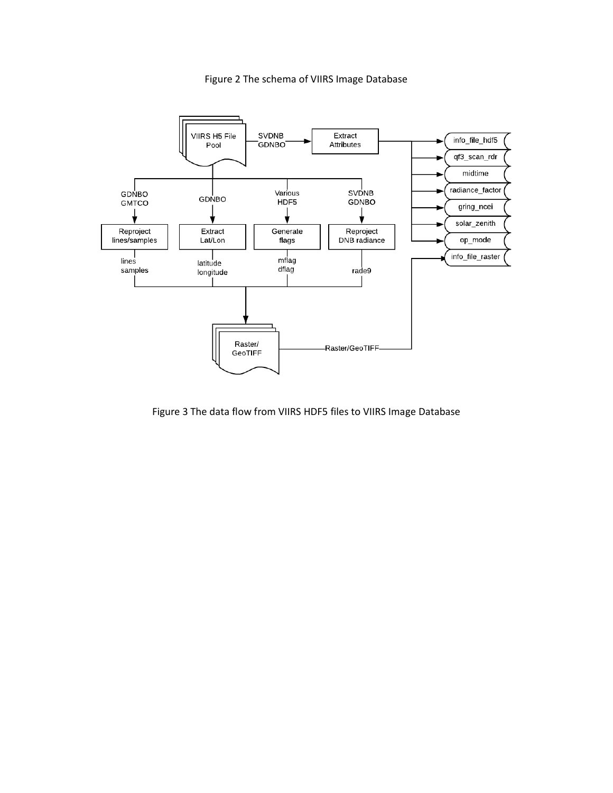



Figure 3 The data flow from VIIRS HDF5 files to VIIRS Image Database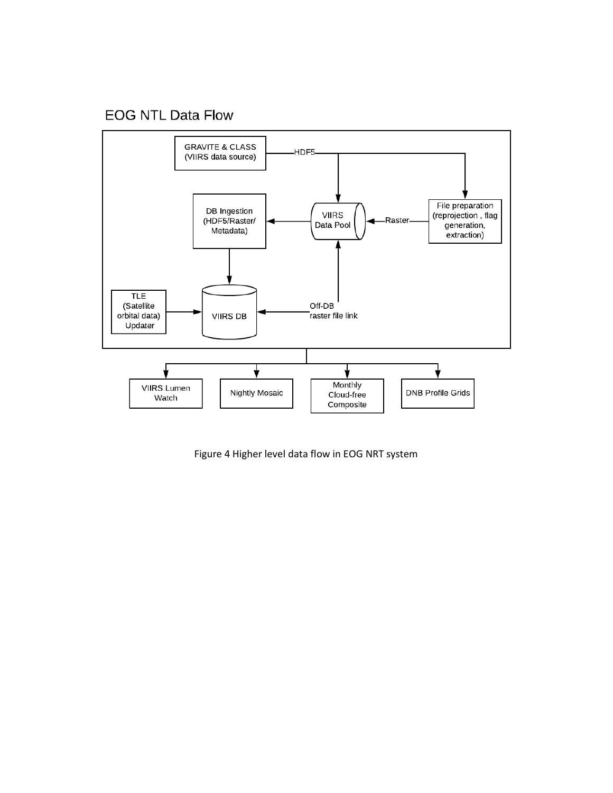# **EOG NTL Data Flow**



Figure 4 Higher level data flow in EOG NRT system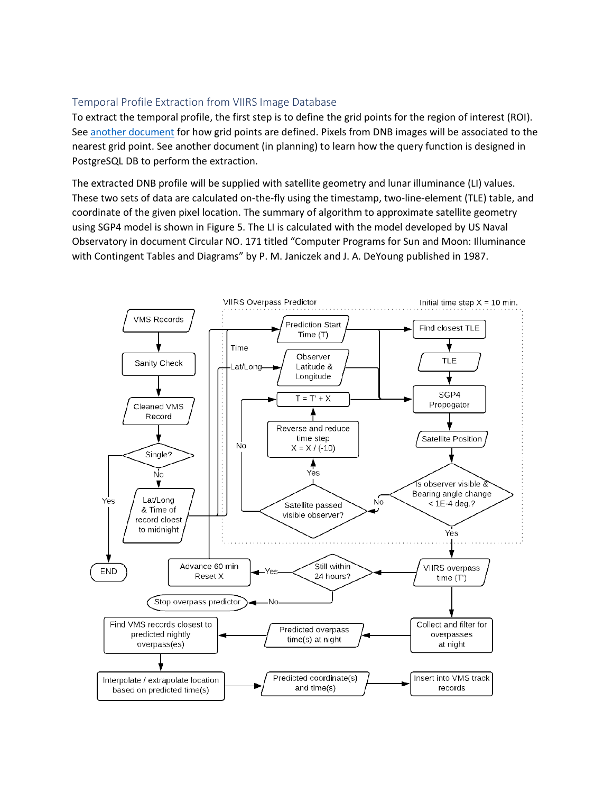#### Temporal Profile Extraction from VIIRS Image Database

To extract the temporal profile, the first step is to define the grid points for the region of interest (ROI). See [another document](https://mines0-my.sharepoint.com/:w:/g/personal/fengchihsu_mines_edu/ER_Hic25edlEqFht0qIwVoUBoAr7JK70f8PO-210VpqmYA?e=OfGlrj) for how grid points are defined. Pixels from DNB images will be associated to the nearest grid point. See another document (in planning) to learn how the query function is designed in PostgreSQL DB to perform the extraction.

The extracted DNB profile will be supplied with satellite geometry and lunar illuminance (LI) values. These two sets of data are calculated on-the-fly using the timestamp, two-line-element (TLE) table, and coordinate of the given pixel location. The summary of algorithm to approximate satellite geometry using SGP4 model is shown in Figure 5. The LI is calculated with the model developed by US Naval Observatory in document Circular NO. 171 titled "Computer Programs for Sun and Moon: Illuminance with Contingent Tables and Diagrams" by P. M. Janiczek and J. A. DeYoung published in 1987.

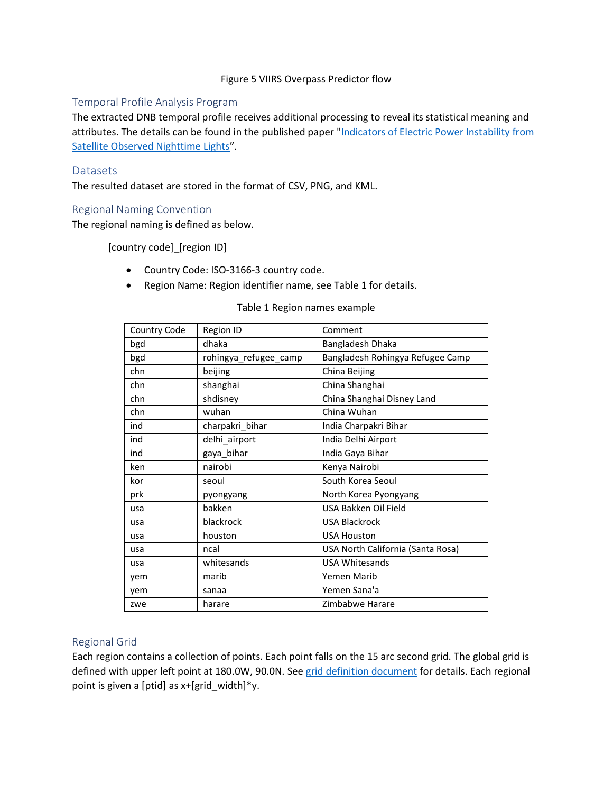#### Figure 5 VIIRS Overpass Predictor flow

#### Temporal Profile Analysis Program

The extracted DNB temporal profile receives additional processing to reveal its statistical meaning and attributes. The details can be found in the published paper "Indicators of Electric Power Instability from [Satellite Observed Nighttime Lights](https://www.mdpi.com/2072-4292/12/19/3194)".

#### **Datasets**

The resulted dataset are stored in the format of CSV, PNG, and KML.

#### Regional Naming Convention

The regional naming is defined as below.

[country code]\_[region ID]

- Country Code: ISO-3166-3 country code.
- Region Name: Region identifier name, see Table 1 for details.

#### Table 1 Region names example

| Country Code | Region ID             | Comment                           |
|--------------|-----------------------|-----------------------------------|
| bgd          | dhaka                 | Bangladesh Dhaka                  |
| bgd          | rohingya_refugee_camp | Bangladesh Rohingya Refugee Camp  |
| chn          | beijing               | China Beijing                     |
| chn          | shanghai              | China Shanghai                    |
| chn          | shdisney              | China Shanghai Disney Land        |
| chn          | wuhan                 | China Wuhan                       |
| ind          | charpakri_bihar       | India Charpakri Bihar             |
| ind          | delhi_airport         | India Delhi Airport               |
| ind          | gaya_bihar            | India Gaya Bihar                  |
| ken          | nairobi               | Kenya Nairobi                     |
| kor          | seoul                 | South Korea Seoul                 |
| prk          | pyongyang             | North Korea Pyongyang             |
| usa          | bakken                | USA Bakken Oil Field              |
| usa          | blackrock             | <b>USA Blackrock</b>              |
| usa          | houston               | <b>USA Houston</b>                |
| usa          | ncal                  | USA North California (Santa Rosa) |
| usa          | whitesands            | <b>USA Whitesands</b>             |
| vem          | marib                 | Yemen Marib                       |
| yem          | sanaa                 | Yemen Sana'a                      |
| zwe          | harare                | Zimbabwe Harare                   |

#### Regional Grid

Each region contains a collection of points. Each point falls on the 15 arc second grid. The global grid is defined with upper left point at 180.0W, 90.0N. Se[e grid definition document](https://mines0-my.sharepoint.com/:w:/g/personal/fengchihsu_mines_edu/ER_Hic25edlEqFht0qIwVoUBoAr7JK70f8PO-210VpqmYA?e=jAeG7d) for details. Each regional point is given a [ptid] as x+[grid\_width]\*y.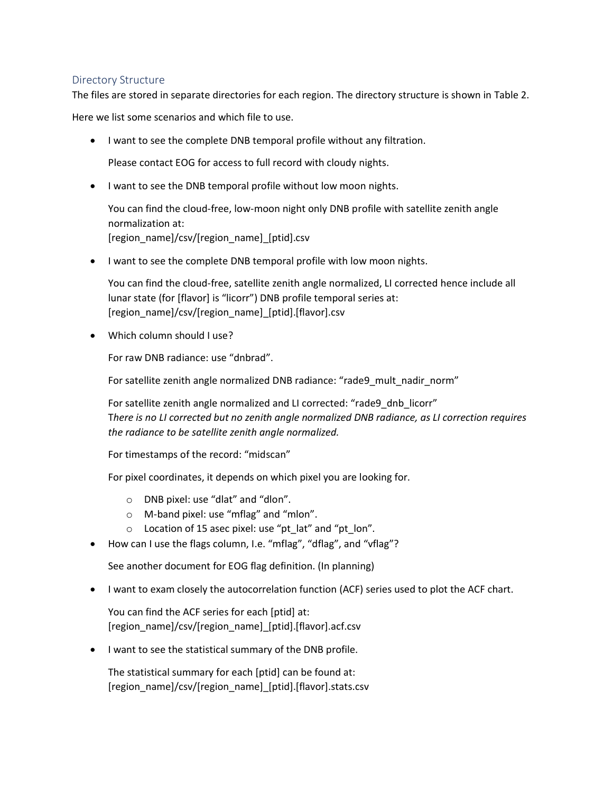#### Directory Structure

The files are stored in separate directories for each region. The directory structure is shown in Table 2.

Here we list some scenarios and which file to use.

• I want to see the complete DNB temporal profile without any filtration.

Please contact EOG for access to full record with cloudy nights.

• I want to see the DNB temporal profile without low moon nights.

You can find the cloud-free, low-moon night only DNB profile with satellite zenith angle normalization at: [region\_name]/csv/[region\_name]\_[ptid].csv

• I want to see the complete DNB temporal profile with low moon nights.

You can find the cloud-free, satellite zenith angle normalized, LI corrected hence include all lunar state (for [flavor] is "licorr") DNB profile temporal series at: [region\_name]/csv/[region\_name]\_[ptid].[flavor].csv

• Which column should I use?

For raw DNB radiance: use "dnbrad".

For satellite zenith angle normalized DNB radiance: "rade9\_mult\_nadir\_norm"

For satellite zenith angle normalized and LI corrected: "rade9\_dnb\_licorr" T*here is no LI corrected but no zenith angle normalized DNB radiance, as LI correction requires the radiance to be satellite zenith angle normalized.*

For timestamps of the record: "midscan"

For pixel coordinates, it depends on which pixel you are looking for.

- o DNB pixel: use "dlat" and "dlon".
- o M-band pixel: use "mflag" and "mlon".
- o Location of 15 asec pixel: use "pt\_lat" and "pt\_lon".
- How can I use the flags column, I.e. "mflag", "dflag", and "vflag"?

See another document for EOG flag definition. (In planning)

• I want to exam closely the autocorrelation function (ACF) series used to plot the ACF chart.

You can find the ACF series for each [ptid] at: [region\_name]/csv/[region\_name]\_[ptid].[flavor].acf.csv

• I want to see the statistical summary of the DNB profile.

The statistical summary for each [ptid] can be found at: [region\_name]/csv/[region\_name]\_[ptid].[flavor].stats.csv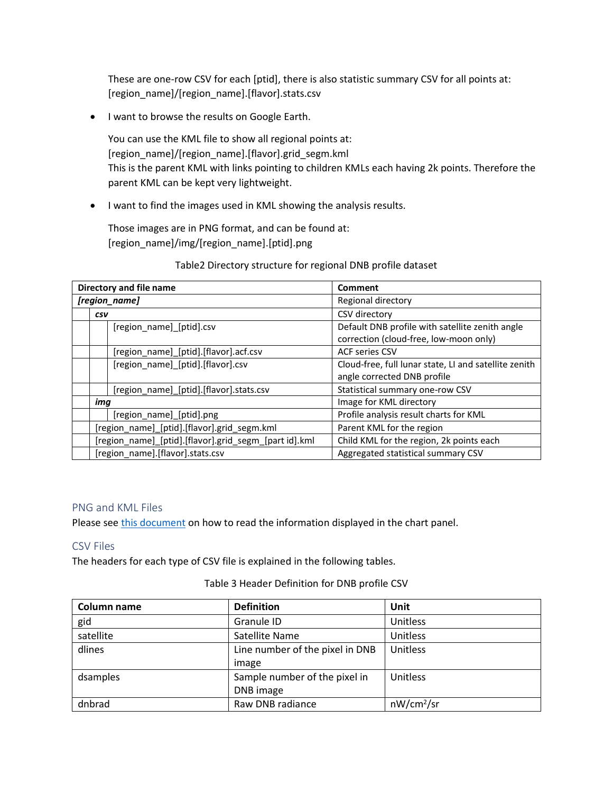These are one-row CSV for each [ptid], there is also statistic summary CSV for all points at: [region\_name]/[region\_name].[flavor].stats.csv

• I want to browse the results on Google Earth.

You can use the KML file to show all regional points at: [region\_name]/[region\_name].[flavor].grid\_segm.kml This is the parent KML with links pointing to children KMLs each having 2k points. Therefore the parent KML can be kept very lightweight.

• I want to find the images used in KML showing the analysis results.

Those images are in PNG format, and can be found at: [region\_name]/img/[region\_name].[ptid].png

Table2 Directory structure for regional DNB profile dataset

|                                             | Directory and file name                               |                                         | Comment                                               |  |
|---------------------------------------------|-------------------------------------------------------|-----------------------------------------|-------------------------------------------------------|--|
|                                             | [region_name]                                         |                                         | Regional directory                                    |  |
|                                             | CSV                                                   |                                         | CSV directory                                         |  |
|                                             |                                                       | [region name] [ptid].csv                | Default DNB profile with satellite zenith angle       |  |
|                                             |                                                       |                                         | correction (cloud-free, low-moon only)                |  |
|                                             |                                                       | [region_name]_[ptid].[flavor].acf.csv   | <b>ACF series CSV</b>                                 |  |
|                                             |                                                       | [region name] [ptid].[flavor].csv       | Cloud-free, full lunar state, LI and satellite zenith |  |
|                                             |                                                       |                                         | angle corrected DNB profile                           |  |
|                                             |                                                       | [region name] [ptid].[flavor].stats.csv | Statistical summary one-row CSV                       |  |
|                                             | img                                                   |                                         | Image for KML directory                               |  |
|                                             | [region_name]_[ptid].png                              |                                         | Profile analysis result charts for KML                |  |
| [region_name]_[ptid].[flavor].grid_segm.kml |                                                       |                                         | Parent KML for the region                             |  |
|                                             | [region_name]_[ptid].[flavor].grid_segm_[part id].kml |                                         | Child KML for the region, 2k points each              |  |
|                                             |                                                       | [region_name].[flavor].stats.csv        | Aggregated statistical summary CSV                    |  |

#### PNG and KML Files

Please see [this document](https://mines0-my.sharepoint.com/:w:/g/personal/fengchihsu_mines_edu/Eb4PYV7L69BDuu_6TzeO-IIB8WMvkf8qPP9wyDmpk-QvPA?e=M42hq6) on how to read the information displayed in the chart panel.

#### CSV Files

The headers for each type of CSV file is explained in the following tables.

#### Table 3 Header Definition for DNB profile CSV

| Column name | <b>Definition</b>               | Unit                   |
|-------------|---------------------------------|------------------------|
| gid         | Granule ID                      | Unitless               |
| satellite   | Satellite Name                  | Unitless               |
| dlines      | Line number of the pixel in DNB | Unitless               |
|             | image                           |                        |
| dsamples    | Sample number of the pixel in   | Unitless               |
|             | DNB image                       |                        |
| dnbrad      | Raw DNB radiance                | nW/cm <sup>2</sup> /sr |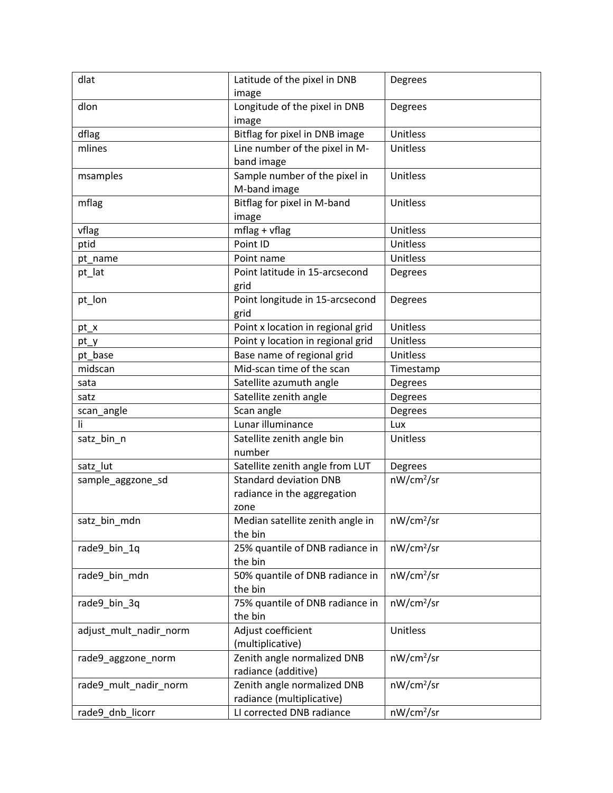| dlat                   | Latitude of the pixel in DNB           | Degrees                |
|------------------------|----------------------------------------|------------------------|
|                        | image                                  |                        |
| dlon                   | Longitude of the pixel in DNB<br>image | Degrees                |
| dflag                  | Bitflag for pixel in DNB image         | Unitless               |
| mlines                 | Line number of the pixel in M-         | Unitless               |
|                        | band image                             |                        |
| msamples               | Sample number of the pixel in          | Unitless               |
|                        | M-band image                           |                        |
| mflag                  | Bitflag for pixel in M-band            | Unitless               |
|                        | image                                  |                        |
| vflag                  | $mflag + vflag$                        | Unitless               |
| ptid                   | Point ID                               | Unitless               |
| pt_name                | Point name                             | Unitless               |
| pt_lat                 | Point latitude in 15-arcsecond         | Degrees                |
|                        | grid                                   |                        |
| pt_lon                 | Point longitude in 15-arcsecond        | Degrees                |
|                        | grid                                   |                        |
| pt_x                   | Point x location in regional grid      | Unitless               |
| pt_y                   | Point y location in regional grid      | Unitless               |
| pt_base                | Base name of regional grid             | Unitless               |
| midscan                | Mid-scan time of the scan              | Timestamp              |
| sata                   | Satellite azumuth angle                | Degrees                |
| satz                   | Satellite zenith angle                 | Degrees                |
| scan_angle             | Scan angle                             | Degrees                |
| li                     | Lunar illuminance                      | Lux                    |
| satz_bin_n             | Satellite zenith angle bin             | Unitless               |
|                        | number                                 |                        |
| satz lut               | Satellite zenith angle from LUT        | Degrees                |
| sample_aggzone_sd      | <b>Standard deviation DNB</b>          | nW/cm <sup>2</sup> /sr |
|                        | radiance in the aggregation            |                        |
|                        | zone                                   |                        |
| satz_bin_mdn           | Median satellite zenith angle in       | nW/cm <sup>2</sup> /sr |
|                        | the bin                                |                        |
| rade9_bin_1q           | 25% quantile of DNB radiance in        | nW/cm <sup>2</sup> /sr |
|                        | the bin                                |                        |
| rade9 bin mdn          | 50% quantile of DNB radiance in        | nW/cm <sup>2</sup> /sr |
|                        | the bin                                |                        |
| rade9 bin 3q           | 75% quantile of DNB radiance in        | nW/cm <sup>2</sup> /sr |
|                        | the bin                                |                        |
| adjust_mult_nadir_norm | Adjust coefficient                     | Unitless               |
|                        | (multiplicative)                       |                        |
| rade9_aggzone_norm     | Zenith angle normalized DNB            | nW/cm <sup>2</sup> /sr |
|                        | radiance (additive)                    |                        |
| rade9_mult_nadir_norm  | Zenith angle normalized DNB            | nW/cm <sup>2</sup> /sr |
|                        | radiance (multiplicative)              |                        |
| rade9_dnb_licorr       | LI corrected DNB radiance              | nW/cm <sup>2</sup> /sr |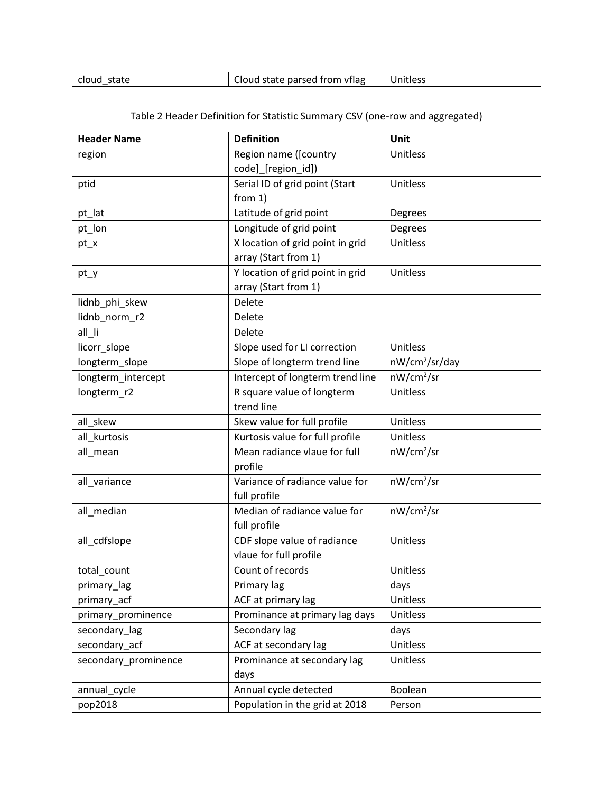| state<br>cioud | i state parsed from vflag.<br>Cloud | Unitless |
|----------------|-------------------------------------|----------|
|                |                                     |          |

| <b>Header Name</b>   | <b>Definition</b>                | Unit                       |
|----------------------|----------------------------------|----------------------------|
| region               | Region name ([country            | Unitless                   |
|                      | code] [region_id])               |                            |
| ptid                 | Serial ID of grid point (Start   | Unitless                   |
|                      | from $1)$                        |                            |
| pt_lat               | Latitude of grid point           | Degrees                    |
| pt_lon               | Longitude of grid point          | Degrees                    |
| pt_x                 | X location of grid point in grid | Unitless                   |
|                      | array (Start from 1)             |                            |
| pt_y                 | Y location of grid point in grid | Unitless                   |
|                      | array (Start from 1)             |                            |
| lidnb_phi_skew       | Delete                           |                            |
| lidnb_norm_r2        | Delete                           |                            |
| all_li               | Delete                           |                            |
| licorr_slope         | Slope used for LI correction     | Unitless                   |
| longterm_slope       | Slope of longterm trend line     | nW/cm <sup>2</sup> /sr/day |
| longterm_intercept   | Intercept of longterm trend line | nW/cm <sup>2</sup> /sr     |
| longterm_r2          | R square value of longterm       | Unitless                   |
|                      | trend line                       |                            |
| all_skew             | Skew value for full profile      | Unitless                   |
| all kurtosis         | Kurtosis value for full profile  | Unitless                   |
| all_mean             | Mean radiance vlaue for full     | nW/cm <sup>2</sup> /sr     |
|                      | profile                          |                            |
| all_variance         | Variance of radiance value for   | nW/cm <sup>2</sup> /sr     |
|                      | full profile                     |                            |
| all_median           | Median of radiance value for     | nW/cm <sup>2</sup> /sr     |
|                      | full profile                     |                            |
| all_cdfslope         | CDF slope value of radiance      | Unitless                   |
|                      | vlaue for full profile           |                            |
| total_count          | Count of records                 | Unitless                   |
| primary_lag          | Primary lag                      | days                       |
| primary acf          | ACF at primary lag               | Unitless                   |
| primary_prominence   | Prominance at primary lag days   | Unitless                   |
| secondary_lag        | Secondary lag                    | days                       |
| secondary_acf        | ACF at secondary lag             | Unitless                   |
| secondary_prominence | Prominance at secondary lag      | <b>Unitless</b>            |
|                      | days                             |                            |
| annual_cycle         | Annual cycle detected            | Boolean                    |
| pop2018              | Population in the grid at 2018   | Person                     |

# Table 2 Header Definition for Statistic Summary CSV (one-row and aggregated)